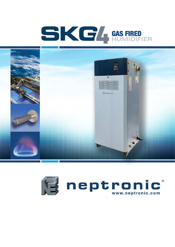# SKG/ GAS FIRED



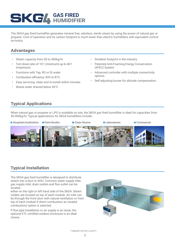# **GAS FIRED** HUMIDIFIER

The SKG4 gas fired humidifier generates mineral free, odorless, sterile steam by using the power of natural gas or propane. Cost of operation and its carbon footprint is much lower than electric humidifiers with equivalent control accuracy.

## **Advantages**

- Steam capacity from 50 to 400kg/hr
- Turn down ratio of 10:1 (minimum) up to 40:1 (maximum)
- Functions with Tap, RO or DI water
- Combustion efficiency: 83% to 87%
- Easy servicing: clean and re-install within minutes
- Waste water drained below 60°C
- Smallest footprint in the industry
- Patented Anti-Foaming Energy Conservation (AFEC) System
- Advanced controller with multiple connectivity options
- Self-adjusting burner for altitude compensation

## **Typical Applications**

When natural gas or propane or LPG is available on site, the SKG4 gas fired humidifier is ideal for capacities from 50-400kg/hr. Typical applications for SKG4 humidifiers include:



## **Typical Installation**

The SKG4 gas fired humidifier is designed to distribute steam into a duct or AHU. Common water supply inlet, gas supply inlet, drain outlets and flue outlet can be located

either on the right or left hand side of the SKG4. Steam outlets are located on top of each module. Air inlet can be through the front door with natural ventilation or from top of each module if direct combustion air (sealed combustion) option is selected.

If flue pipe installation or air supply is an issue, the optional ETL certified outdoor enclosure is an ideal choice.

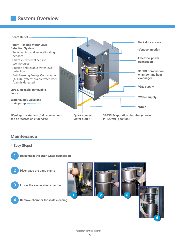# **System Overview**



#### **Maintenance**

#### **4 Easy Steps!**



**1 Disconnect the drain water connection**

**2 Disengage the band clamp**





篇

 $\mathbb{R}^n$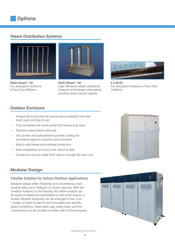#### **Steam Distribution Systems**



**Multi-Steam™ SD** For absorption distance of less than 900mm



**Multi-Steam™ HD** High efficiency steam distributor (channel and header) with patent pending steam ejector eyelets



**S.A.M.E2**  For absorption distance of less than 1500mm

## **Outdoor Enclosure**

- Hinged doors provide full access (serviceability) from the front, back and top of unit
- Fully insulated and constructed from heavy duty steel
- Stainless steel bottom drip pan
- Zinc primer and polyurethane powder coating for resistance against scratches and corrosion
- Built-in anti-freeze and overheat protection
- Easy installation on a roof curb, stand or slab
- Connection can be made from side or through the roof curb



#### Flexible Solution for Indoor/Outdoor Applications

Modular design offers flexibility and convenience; each module adds up to 100kg/hr of steam capacity. With the smallest footprint in the industry, the SKG4 module can be easily installed and assembled on site when access is limited. Module assembly can be arranged in line, in an L shape, or back to back to accommodate any specific space conditions. Feed water, gas, water drain and flue connections can be located on either side of the enclosure.

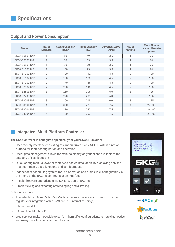#### **Output and Power Consumption**

| <b>Model</b>          | No. of<br><b>Modules</b> | <b>Steam Capacity</b><br>(kg/hr) | <b>Input Capacity</b><br>(kW) | <b>Current at 230V</b><br>(Amp) | No. of<br><b>Outlets</b> | <b>Multi-Steam</b><br>header diameter<br>(mm) |
|-----------------------|--------------------------|----------------------------------|-------------------------------|---------------------------------|--------------------------|-----------------------------------------------|
| SKG4-E0501 N/P        | 1                        | 50                               | 49                            | 3.5                             | 1                        | 76                                            |
| SKG4-E0701 N/P        | $\mathbf{1}$             | 70                               | 63                            | 3.5                             | $\mathbf{1}$             | 76                                            |
| SKG4-E0801 N/P        | 1                        | 80                               | 70                            | 3.5                             | 1                        | 76                                            |
| SKG4-E1001 N/P        | $\mathbf{1}$             | 100                              | 73                            | 3.5                             | $\mathbf{1}$             | 76                                            |
| SKG4-E1202 N/P        | $\overline{2}$           | 120                              | 112                           | 4.5                             | $\mathbf{2}$             | 100                                           |
| SKG4-E1502 N/P        | $\overline{2}$           | 150                              | 126                           | 4.5                             | $\overline{2}$           | 100                                           |
| SKG4-E1702 N/P        | $\mathfrak{D}$           | 170                              | 136                           | 4.5                             | $\overline{2}$           | 100                                           |
| SKG4-E2002 N/P        | $\overline{2}$           | 200                              | 146                           | 4.5                             | $\overline{2}$           | 100                                           |
| SKG4-E2503 N/P        | 3                        | 250                              | 206                           | 6.0                             | 3                        | 125                                           |
| SKG4-E2703 N/P        | 3                        | 270                              | 209                           | 6.0                             | 3                        | 125                                           |
| SKG4-E3003 N/P        | $\mathcal{R}$            | 300                              | 219                           | 6.0                             | 3                        | 125                                           |
| SKG4-E3504 N/P        | $\overline{4}$           | 350                              | 279                           | 7.5                             | $\overline{4}$           | 2x 100                                        |
| SKG4-E3704 N/P        | $\overline{4}$           | 370                              | 282                           | 7.5                             | $\overline{4}$           | 2x 100                                        |
| <b>SKG4-E4004 N/P</b> | $\overline{4}$           | 400                              | 292                           | 7.5                             | $\overline{4}$           | 2x 100                                        |

## **Integrated, Multi-Platform Controller**

The SK4 Controller is configured specifically for your SKG4 Humidifier.

- User-friendly interface consisting of a menu driven 128 x 64 LCD with 8 function buttons for faster configuration and operation
- User rights management allows for menu to display only functions available to the category of user logged in
- Quick Config menu allows for faster and easier installation, by displaying only the most commonly used functions and configurations
- Independent scheduling system for unit operation and drain cycle, configurable via the menu or the BACnet communication interface
- In-field firmware upgradeable via SD card, USB or BACnet
- Simple viewing and exporting of trending log and alarm log

#### Optional features

- The selectable BACnet MS/TP or Modbus menus allow access to over 75 objects/ registers for integration with a BMS and IoT (Internet of Things)
- Ethernet module
- BACnet IP or Modbus IP
- Web services make it possible to perform humidifier configurations, remote diagnostics and many more functions from any location



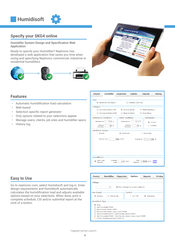

## **Specify your SKG4 online**

Humidifer System Design and Specification Web Application

Ready to specify your Humidifier? Neptronic has developed a web application that saves you time when sizing and specifying Neptronic commercial, industrial or residential humidifiers.





#### **Features**

- Automatic humidification load calculation
- Web based
- Selection specific report generator
- Only options related to your selections appear
- Manage users, clients, job sites and humidifier specs
- History log

| <b>Project</b>                                                                                                                                                                                                                      | <b>Humidifier</b>     | <b>Dispersion</b>                     | <b>Options</b>                            | <b>Reports</b> | <b>Pricing</b>          |  |  |
|-------------------------------------------------------------------------------------------------------------------------------------------------------------------------------------------------------------------------------------|-----------------------|---------------------------------------|-------------------------------------------|----------------|-------------------------|--|--|
| - Type -<br>5 Isothermal (Hot Steam)<br>Adiabatic (cold mist)<br>-Category-<br>Commercial Electric SKE<br><b>Commercial Gas</b><br><b>Residential Electric</b><br>Commercial Electric SKE4<br>Steam to Steam<br><b>Direct Steam</b> |                       |                                       |                                           |                |                         |  |  |
| Entering Air Conditions-<br>Temperature<br>Relative<br>Humidity                                                                                                                                                                     | 15.6 °C<br>35 %       | - Indoor Conditions-<br>Temperature   | $21.1$ °C<br>Relative<br>40 %<br>Humidity | Distribution-  | (a) In Duct<br>In Space |  |  |
| $\mathop{\rule{0pt}{0pt}{\text{-}}\!\!{\mathsf{V}}{\mathsf{entilation}}$ System-<br>Natural                                                                                                                                         | <b>Total Air Flow</b> | Mechanical<br>5663 m <sup>3</sup> /hr | Outside Air                               | Economizer     | 100 %                   |  |  |
| Humidifier(s)<br>Enter Load<br>Manually                                                                                                                                                                                             | Entered<br>Load       | $2.04$ kg/hr                          | Total<br>Capacity                         | 50.00 kg/hr    | Select<br>Model         |  |  |

#### **Easy to Use**

Go to neptronic.com, select Humidisoft and log in. Enter design requirements and Humidisoft automatically calculates the humidification load and adjusts available options based on your selections. When done, print a complete schedule, CSI and/or submittal report at the click of a button.

| <b>Project</b>                                                                                                                                                                                                                                                                             | <b>Humidifier</b>  | <b>Dispersion</b> | <b>Options</b>                    | <b>Reports</b> | Pricing |  |  |
|--------------------------------------------------------------------------------------------------------------------------------------------------------------------------------------------------------------------------------------------------------------------------------------------|--------------------|-------------------|-----------------------------------|----------------|---------|--|--|
| -Voltage<br>Show Voltages for current model only<br>▼                                                                                                                                                                                                                                      |                    |                   |                                   |                |         |  |  |
| – Gas Supply<br>Propane                                                                                                                                                                                                                                                                    | <b>Natural Gas</b> |                   | Control<br>On / Off<br>Modulating |                |         |  |  |
| ⊢Humidistat Type<br>None<br>Wall Humidistat HRO20<br>Wall Humidity Sensor SHR10<br>Duct Humidity Sensor (return duct) SHC80<br>Wall Humidistat HRO20 + Wall Humidity Sensor SHR10<br>Wall Humidistat HRO20 + Duct Humidity Sensor (return duct) SHC80<br>Window Temperature Sensor SHW0-11 |                    |                   |                                   |                |         |  |  |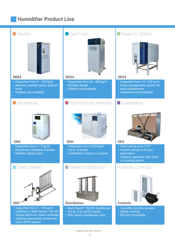# **Humidifier Product Line**